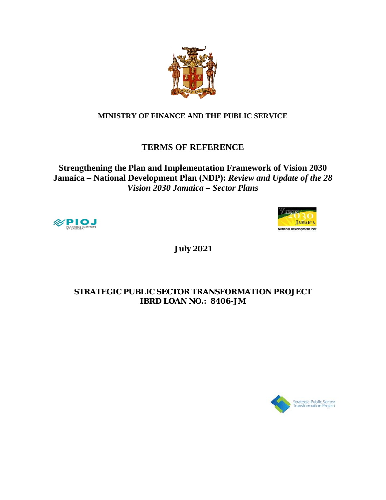

# **MINISTRY OF FINANCE AND THE PUBLIC SERVICE**

# **TERMS OF REFERENCE**

**Strengthening the Plan and Implementation Framework of Vision 2030 Jamaica – National Development Plan (NDP):** *Review and Update of the 28 Vision 2030 Jamaica – Sector Plans*





**July 2021**

# **STRATEGIC PUBLIC SECTOR TRANSFORMATION PROJECT IBRD LOAN NO.: 8406-JM**

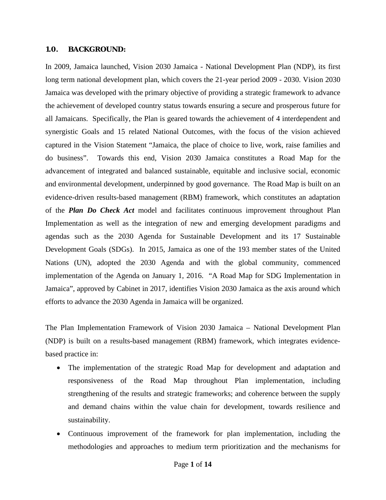#### **1.0. BACKGROUND:**

In 2009, Jamaica launched, Vision 2030 Jamaica - National Development Plan (NDP), its first long term national development plan, which covers the 21-year period 2009 - 2030. Vision 2030 Jamaica was developed with the primary objective of providing a strategic framework to advance the achievement of developed country status towards ensuring a secure and prosperous future for all Jamaicans. Specifically, the Plan is geared towards the achievement of 4 interdependent and synergistic Goals and 15 related National Outcomes, with the focus of the vision achieved captured in the Vision Statement "Jamaica, the place of choice to live, work, raise families and do business". Towards this end, Vision 2030 Jamaica constitutes a Road Map for the advancement of integrated and balanced sustainable, equitable and inclusive social, economic and environmental development, underpinned by good governance. The Road Map is built on an evidence-driven results-based management (RBM) framework, which constitutes an adaptation of the *Plan Do Check Act* model and facilitates continuous improvement throughout Plan Implementation as well as the integration of new and emerging development paradigms and agendas such as the 2030 Agenda for Sustainable Development and its 17 Sustainable Development Goals (SDGs). In 2015, Jamaica as one of the 193 member states of the United Nations (UN), adopted the 2030 Agenda and with the global community, commenced implementation of the Agenda on January 1, 2016. "A Road Map for SDG Implementation in Jamaica", approved by Cabinet in 2017, identifies Vision 2030 Jamaica as the axis around which efforts to advance the 2030 Agenda in Jamaica will be organized.

The Plan Implementation Framework of Vision 2030 Jamaica – National Development Plan (NDP) is built on a results-based management (RBM) framework, which integrates evidencebased practice in:

- The implementation of the strategic Road Map for development and adaptation and responsiveness of the Road Map throughout Plan implementation, including strengthening of the results and strategic frameworks; and coherence between the supply and demand chains within the value chain for development, towards resilience and sustainability.
- Continuous improvement of the framework for plan implementation, including the methodologies and approaches to medium term prioritization and the mechanisms for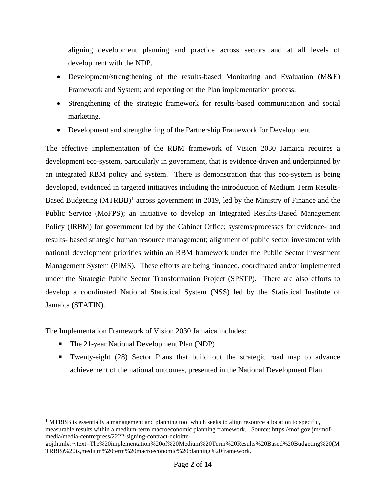aligning development planning and practice across sectors and at all levels of development with the NDP.

- Development/strengthening of the results-based Monitoring and Evaluation (M&E) Framework and System; and reporting on the Plan implementation process.
- Strengthening of the strategic framework for results-based communication and social marketing.
- Development and strengthening of the Partnership Framework for Development.

The effective implementation of the RBM framework of Vision 2030 Jamaica requires a development eco-system, particularly in government, that is evidence-driven and underpinned by an integrated RBM policy and system. There is demonstration that this eco-system is being developed, evidenced in targeted initiatives including the introduction of Medium Term Results-Based Budgeting  $(MTRBB)^1$  $(MTRBB)^1$  across government in 2019, led by the Ministry of Finance and the Public Service (MoFPS); an initiative to develop an Integrated Results-Based Management Policy (IRBM) for government led by the Cabinet Office; systems/processes for evidence- and results- based strategic human resource management; alignment of public sector investment with national development priorities within an RBM framework under the Public Sector Investment Management System (PIMS). These efforts are being financed, coordinated and/or implemented under the Strategic Public Sector Transformation Project (SPSTP). There are also efforts to develop a coordinated National Statistical System (NSS) led by the Statistical Institute of Jamaica (STATIN).

The Implementation Framework of Vision 2030 Jamaica includes:

- The 21-year National Development Plan (NDP)
- Twenty-eight (28) Sector Plans that build out the strategic road map to advance achievement of the national outcomes, presented in the National Development Plan.

<span id="page-2-0"></span> $1$  MTRBB is essentially a management and planning tool which seeks to align resource allocation to specific, measurable results within a medium-term macroeconomic planning framework. Source: https://mof.gov.jm/mofmedia/media-centre/press/2222-signing-contract-deloitte-

goj.html#:~:text=The%20implementation%20of%20Medium%20Term%20Results%20Based%20Budgeting%20(M TRBB)%20is,medium%20term%20macroeconomic%20planning%20framework.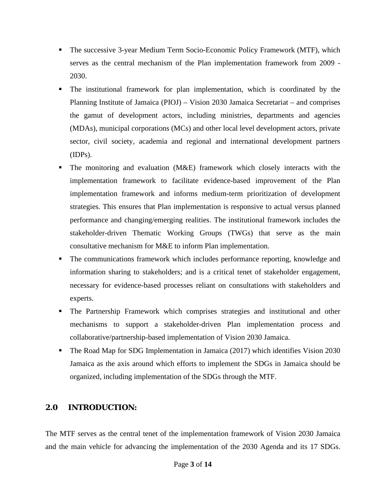- The successive 3-year Medium Term Socio-Economic Policy Framework (MTF), which serves as the central mechanism of the Plan implementation framework from 2009 - 2030.
- The institutional framework for plan implementation, which is coordinated by the Planning Institute of Jamaica (PIOJ) – Vision 2030 Jamaica Secretariat – and comprises the gamut of development actors, including ministries, departments and agencies (MDAs), municipal corporations (MCs) and other local level development actors, private sector, civil society, academia and regional and international development partners (IDPs).
- The monitoring and evaluation (M&E) framework which closely interacts with the implementation framework to facilitate evidence-based improvement of the Plan implementation framework and informs medium-term prioritization of development strategies. This ensures that Plan implementation is responsive to actual versus planned performance and changing/emerging realities. The institutional framework includes the stakeholder-driven Thematic Working Groups (TWGs) that serve as the main consultative mechanism for M&E to inform Plan implementation.
- The communications framework which includes performance reporting, knowledge and information sharing to stakeholders; and is a critical tenet of stakeholder engagement, necessary for evidence-based processes reliant on consultations with stakeholders and experts.
- The Partnership Framework which comprises strategies and institutional and other mechanisms to support a stakeholder-driven Plan implementation process and collaborative/partnership-based implementation of Vision 2030 Jamaica.
- The Road Map for SDG Implementation in Jamaica (2017) which identifies Vision 2030 Jamaica as the axis around which efforts to implement the SDGs in Jamaica should be organized, including implementation of the SDGs through the MTF.

# *2.0* **INTRODUCTION***:*

The MTF serves as the central tenet of the implementation framework of Vision 2030 Jamaica and the main vehicle for advancing the implementation of the 2030 Agenda and its 17 SDGs.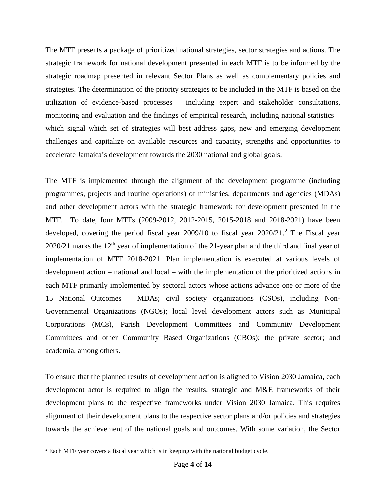The MTF presents a package of prioritized national strategies, sector strategies and actions. The strategic framework for national development presented in each MTF is to be informed by the strategic roadmap presented in relevant Sector Plans as well as complementary policies and strategies. The determination of the priority strategies to be included in the MTF is based on the utilization of evidence-based processes – including expert and stakeholder consultations, monitoring and evaluation and the findings of empirical research, including national statistics – which signal which set of strategies will best address gaps, new and emerging development challenges and capitalize on available resources and capacity, strengths and opportunities to accelerate Jamaica's development towards the 2030 national and global goals.

The MTF is implemented through the alignment of the development programme (including programmes, projects and routine operations) of ministries, departments and agencies (MDAs) and other development actors with the strategic framework for development presented in the MTF. To date, four MTFs (2009-2012, 2012-2015, 2015-2018 and 2018-2021) have been developed, covering the period fiscal year  $2009/10$  $2009/10$  to fiscal year  $2020/21$ .<sup>2</sup> The Fiscal year  $2020/21$  marks the  $12<sup>th</sup>$  year of implementation of the 21-year plan and the third and final year of implementation of MTF 2018-2021. Plan implementation is executed at various levels of development action – national and local – with the implementation of the prioritized actions in each MTF primarily implemented by sectoral actors whose actions advance one or more of the 15 National Outcomes – MDAs; civil society organizations (CSOs), including Non-Governmental Organizations (NGOs); local level development actors such as Municipal Corporations (MCs), Parish Development Committees and Community Development Committees and other Community Based Organizations (CBOs); the private sector; and academia, among others.

To ensure that the planned results of development action is aligned to Vision 2030 Jamaica, each development actor is required to align the results, strategic and M&E frameworks of their development plans to the respective frameworks under Vision 2030 Jamaica. This requires alignment of their development plans to the respective sector plans and/or policies and strategies towards the achievement of the national goals and outcomes. With some variation, the Sector

<span id="page-4-0"></span><sup>&</sup>lt;sup>2</sup> Each MTF year covers a fiscal year which is in keeping with the national budget cycle.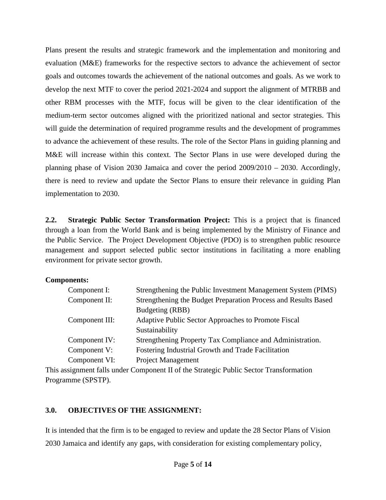Plans present the results and strategic framework and the implementation and monitoring and evaluation (M&E) frameworks for the respective sectors to advance the achievement of sector goals and outcomes towards the achievement of the national outcomes and goals. As we work to develop the next MTF to cover the period 2021-2024 and support the alignment of MTRBB and other RBM processes with the MTF, focus will be given to the clear identification of the medium-term sector outcomes aligned with the prioritized national and sector strategies. This will guide the determination of required programme results and the development of programmes to advance the achievement of these results. The role of the Sector Plans in guiding planning and M&E will increase within this context. The Sector Plans in use were developed during the planning phase of Vision 2030 Jamaica and cover the period 2009/2010 – 2030. Accordingly, there is need to review and update the Sector Plans to ensure their relevance in guiding Plan implementation to 2030.

**2.2. Strategic Public Sector Transformation Project:** This is a project that is financed through a loan from the World Bank and is being implemented by the Ministry of Finance and the Public Service. The Project Development Objective (PDO) is to strengthen public resource management and support selected public sector institutions in facilitating a more enabling environment for private sector growth.

#### **Components:**

| Component I:   | Strengthening the Public Investment Management System (PIMS)   |
|----------------|----------------------------------------------------------------|
| Component II:  | Strengthening the Budget Preparation Process and Results Based |
|                | Budgeting (RBB)                                                |
| Component III: | Adaptive Public Sector Approaches to Promote Fiscal            |
|                | Sustainability                                                 |
| Component IV:  | Strengthening Property Tax Compliance and Administration.      |
| Component V:   | Fostering Industrial Growth and Trade Facilitation             |
| Component VI:  | <b>Project Management</b>                                      |
|                |                                                                |

This assignment falls under Component II of the Strategic Public Sector Transformation Programme (SPSTP).

## **3.0. OBJECTIVES OF THE ASSIGNMENT:**

It is intended that the firm is to be engaged to review and update the 28 Sector Plans of Vision 2030 Jamaica and identify any gaps, with consideration for existing complementary policy,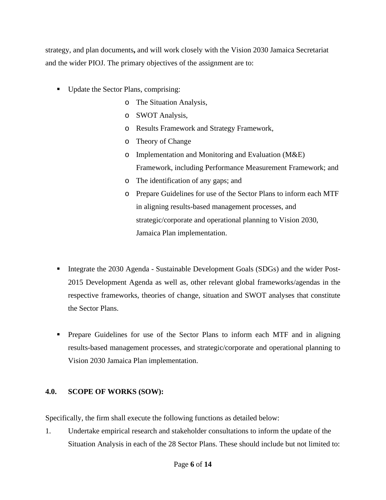strategy, and plan documents**,** and will work closely with the Vision 2030 Jamaica Secretariat and the wider PIOJ. The primary objectives of the assignment are to:

- Update the Sector Plans, comprising:
	- o The Situation Analysis,
	- o SWOT Analysis,
	- o Results Framework and Strategy Framework,
	- o Theory of Change
	- o Implementation and Monitoring and Evaluation (M&E) Framework, including Performance Measurement Framework; and
	- o The identification of any gaps; and
	- o Prepare Guidelines for use of the Sector Plans to inform each MTF in aligning results-based management processes, and strategic/corporate and operational planning to Vision 2030, Jamaica Plan implementation.
- Integrate the 2030 Agenda Sustainable Development Goals (SDGs) and the wider Post-2015 Development Agenda as well as, other relevant global frameworks/agendas in the respective frameworks, theories of change, situation and SWOT analyses that constitute the Sector Plans.
- Prepare Guidelines for use of the Sector Plans to inform each MTF and in aligning results-based management processes, and strategic/corporate and operational planning to Vision 2030 Jamaica Plan implementation.

## **4.0. SCOPE OF WORKS (SOW):**

Specifically, the firm shall execute the following functions as detailed below:

1. Undertake empirical research and stakeholder consultations to inform the update of the Situation Analysis in each of the 28 Sector Plans. These should include but not limited to: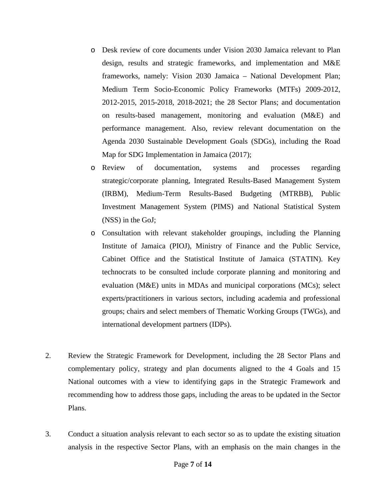- o Desk review of core documents under Vision 2030 Jamaica relevant to Plan design, results and strategic frameworks, and implementation and M&E frameworks, namely: Vision 2030 Jamaica – National Development Plan; Medium Term Socio-Economic Policy Frameworks (MTFs) 2009-2012, 2012-2015, 2015-2018, 2018-2021; the 28 Sector Plans; and documentation on results-based management, monitoring and evaluation (M&E) and performance management. Also, review relevant documentation on the Agenda 2030 Sustainable Development Goals (SDGs), including the Road Map for SDG Implementation in Jamaica (2017);
- o Review of documentation, systems and processes regarding strategic/corporate planning, Integrated Results-Based Management System (IRBM), Medium-Term Results-Based Budgeting (MTRBB), Public Investment Management System (PIMS) and National Statistical System (NSS) in the GoJ;
- o Consultation with relevant stakeholder groupings, including the Planning Institute of Jamaica (PIOJ), Ministry of Finance and the Public Service, Cabinet Office and the Statistical Institute of Jamaica (STATIN). Key technocrats to be consulted include corporate planning and monitoring and evaluation (M&E) units in MDAs and municipal corporations (MCs); select experts/practitioners in various sectors, including academia and professional groups; chairs and select members of Thematic Working Groups (TWGs), and international development partners (IDPs).
- 2. Review the Strategic Framework for Development, including the 28 Sector Plans and complementary policy, strategy and plan documents aligned to the 4 Goals and 15 National outcomes with a view to identifying gaps in the Strategic Framework and recommending how to address those gaps, including the areas to be updated in the Sector Plans.
- 3. Conduct a situation analysis relevant to each sector so as to update the existing situation analysis in the respective Sector Plans, with an emphasis on the main changes in the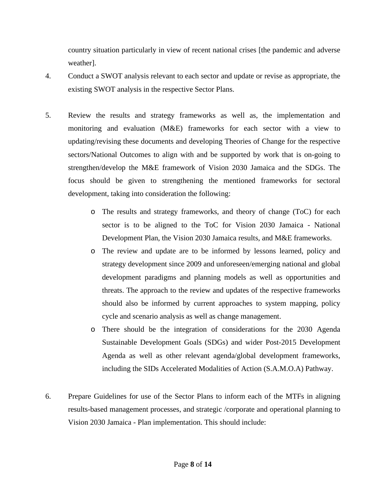country situation particularly in view of recent national crises [the pandemic and adverse weather].

- 4. Conduct a SWOT analysis relevant to each sector and update or revise as appropriate, the existing SWOT analysis in the respective Sector Plans.
- 5. Review the results and strategy frameworks as well as, the implementation and monitoring and evaluation (M&E) frameworks for each sector with a view to updating/revising these documents and developing Theories of Change for the respective sectors/National Outcomes to align with and be supported by work that is on-going to strengthen/develop the M&E framework of Vision 2030 Jamaica and the SDGs. The focus should be given to strengthening the mentioned frameworks for sectoral development, taking into consideration the following:
	- o The results and strategy frameworks, and theory of change (ToC) for each sector is to be aligned to the ToC for Vision 2030 Jamaica - National Development Plan, the Vision 2030 Jamaica results, and M&E frameworks.
	- o The review and update are to be informed by lessons learned, policy and strategy development since 2009 and unforeseen/emerging national and global development paradigms and planning models as well as opportunities and threats. The approach to the review and updates of the respective frameworks should also be informed by current approaches to system mapping, policy cycle and scenario analysis as well as change management.
	- o There should be the integration of considerations for the 2030 Agenda Sustainable Development Goals (SDGs) and wider Post-2015 Development Agenda as well as other relevant agenda/global development frameworks, including the SIDs Accelerated Modalities of Action (S.A.M.O.A) Pathway.
- 6. Prepare Guidelines for use of the Sector Plans to inform each of the MTFs in aligning results-based management processes, and strategic /corporate and operational planning to Vision 2030 Jamaica - Plan implementation. This should include: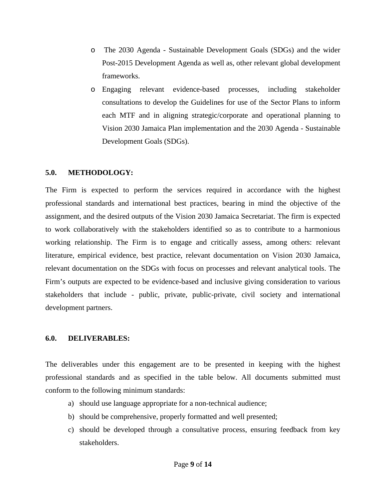- o The 2030 Agenda Sustainable Development Goals (SDGs) and the wider Post-2015 Development Agenda as well as, other relevant global development frameworks.
- o Engaging relevant evidence-based processes, including stakeholder consultations to develop the Guidelines for use of the Sector Plans to inform each MTF and in aligning strategic/corporate and operational planning to Vision 2030 Jamaica Plan implementation and the 2030 Agenda - Sustainable Development Goals (SDGs).

#### **5.0. METHODOLOGY:**

The Firm is expected to perform the services required in accordance with the highest professional standards and international best practices, bearing in mind the objective of the assignment, and the desired outputs of the Vision 2030 Jamaica Secretariat. The firm is expected to work collaboratively with the stakeholders identified so as to contribute to a harmonious working relationship. The Firm is to engage and critically assess, among others: relevant literature, empirical evidence, best practice, relevant documentation on Vision 2030 Jamaica, relevant documentation on the SDGs with focus on processes and relevant analytical tools. The Firm's outputs are expected to be evidence-based and inclusive giving consideration to various stakeholders that include - public, private, public-private, civil society and international development partners.

#### **6.0. DELIVERABLES:**

The deliverables under this engagement are to be presented in keeping with the highest professional standards and as specified in the table below. All documents submitted must conform to the following minimum standards:

- a) should use language appropriate for a non-technical audience;
- b) should be comprehensive, properly formatted and well presented;
- c) should be developed through a consultative process, ensuring feedback from key stakeholders.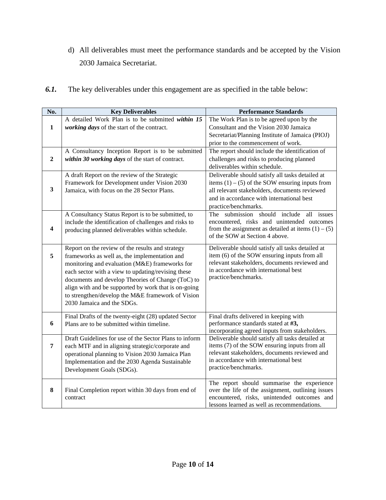d) All deliverables must meet the performance standards and be accepted by the Vision 2030 Jamaica Secretariat.

| 6.1. |  | The key deliverables under this engagement are as specified in the table below: |  |
|------|--|---------------------------------------------------------------------------------|--|
|------|--|---------------------------------------------------------------------------------|--|

| No.                     | <b>Key Deliverables</b>                                                                                                                                                                                                                                                                                                                                                                                   | <b>Performance Standards</b>                                                                                                                                                                                                |
|-------------------------|-----------------------------------------------------------------------------------------------------------------------------------------------------------------------------------------------------------------------------------------------------------------------------------------------------------------------------------------------------------------------------------------------------------|-----------------------------------------------------------------------------------------------------------------------------------------------------------------------------------------------------------------------------|
| 1                       | A detailed Work Plan is to be submitted within 15<br>working days of the start of the contract.                                                                                                                                                                                                                                                                                                           | The Work Plan is to be agreed upon by the<br>Consultant and the Vision 2030 Jamaica                                                                                                                                         |
|                         |                                                                                                                                                                                                                                                                                                                                                                                                           | Secretariat/Planning Institute of Jamaica (PIOJ)<br>prior to the commencement of work.                                                                                                                                      |
| $\mathbf{2}$            | A Consultancy Inception Report is to be submitted<br>within 30 working days of the start of contract.                                                                                                                                                                                                                                                                                                     | The report should include the identification of<br>challenges and risks to producing planned<br>deliverables within schedule.                                                                                               |
| 3                       | A draft Report on the review of the Strategic<br>Framework for Development under Vision 2030<br>Jamaica, with focus on the 28 Sector Plans.                                                                                                                                                                                                                                                               | Deliverable should satisfy all tasks detailed at<br>items $(1) - (5)$ of the SOW ensuring inputs from<br>all relevant stakeholders, documents reviewed<br>and in accordance with international best<br>practice/benchmarks. |
| $\overline{\mathbf{4}}$ | A Consultancy Status Report is to be submitted, to<br>include the identification of challenges and risks to<br>producing planned deliverables within schedule.                                                                                                                                                                                                                                            | The submission should include all issues<br>encountered, risks and unintended outcomes<br>from the assignment as detailed at items $(1) - (5)$<br>of the SOW at Section 4 above.                                            |
| 5                       | Report on the review of the results and strategy<br>frameworks as well as, the implementation and<br>monitoring and evaluation (M&E) frameworks for<br>each sector with a view to updating/revising these<br>documents and develop Theories of Change (ToC) to<br>align with and be supported by work that is on-going<br>to strengthen/develop the M&E framework of Vision<br>2030 Jamaica and the SDGs. | Deliverable should satisfy all tasks detailed at<br>item (6) of the SOW ensuring inputs from all<br>relevant stakeholders, documents reviewed and<br>in accordance with international best<br>practice/benchmarks.          |
| 6                       | Final Drafts of the twenty-eight (28) updated Sector<br>Plans are to be submitted within timeline.                                                                                                                                                                                                                                                                                                        | Final drafts delivered in keeping with<br>performance standards stated at #3,<br>incorporating agreed inputs from stakeholders.                                                                                             |
| $\overline{7}$          | Draft Guidelines for use of the Sector Plans to inform<br>each MTF and in aligning strategic/corporate and<br>operational planning to Vision 2030 Jamaica Plan<br>Implementation and the 2030 Agenda Sustainable<br>Development Goals (SDGs).                                                                                                                                                             | Deliverable should satisfy all tasks detailed at<br>items (7) of the SOW ensuring inputs from all<br>relevant stakeholders, documents reviewed and<br>in accordance with international best<br>practice/benchmarks.         |
| 8                       | Final Completion report within 30 days from end of<br>contract                                                                                                                                                                                                                                                                                                                                            | The report should summarise the experience<br>over the life of the assignment, outlining issues<br>encountered, risks, unintended outcomes and<br>lessons learned as well as recommendations.                               |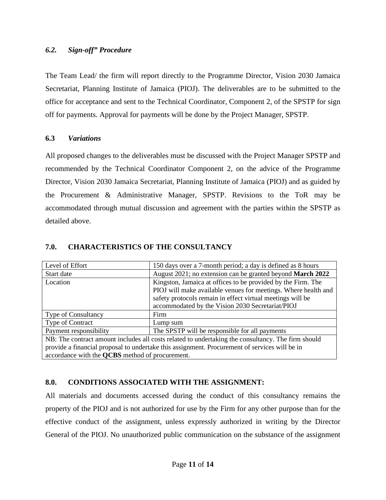#### *6.2. Sign-off" Procedure*

The Team Lead/ the firm will report directly to the Programme Director, Vision 2030 Jamaica Secretariat, Planning Institute of Jamaica (PIOJ). The deliverables are to be submitted to the office for acceptance and sent to the Technical Coordinator, Component 2, of the SPSTP for sign off for payments. Approval for payments will be done by the Project Manager, SPSTP.

#### **6.3** *Variations*

All proposed changes to the deliverables must be discussed with the Project Manager SPSTP and recommended by the Technical Coordinator Component 2, on the advice of the Programme Director, Vision 2030 Jamaica Secretariat, Planning Institute of Jamaica (PIOJ) and as guided by the Procurement & Administrative Manager, SPSTP. Revisions to the ToR may be accommodated through mutual discussion and agreement with the parties within the SPSTP as detailed above.

| Level of Effort                                                                                    | 150 days over a 7-month period; a day is defined as 8 hours    |  |  |  |
|----------------------------------------------------------------------------------------------------|----------------------------------------------------------------|--|--|--|
| Start date                                                                                         | August 2021; no extension can be granted beyond March 2022     |  |  |  |
| Location                                                                                           | Kingston, Jamaica at offices to be provided by the Firm. The   |  |  |  |
|                                                                                                    | PIOJ will make available venues for meetings. Where health and |  |  |  |
|                                                                                                    | safety protocols remain in effect virtual meetings will be     |  |  |  |
|                                                                                                    | accommodated by the Vision 2030 Secretariat/PIOJ               |  |  |  |
| <b>Type of Consultancy</b>                                                                         | Firm                                                           |  |  |  |
| <b>Type of Contract</b>                                                                            | Lump sum                                                       |  |  |  |
| Payment responsibility                                                                             | The SPSTP will be responsible for all payments                 |  |  |  |
| NB: The contract amount includes all costs related to undertaking the consultancy. The firm should |                                                                |  |  |  |
| provide a financial proposal to undertake this assignment. Procurement of services will be in      |                                                                |  |  |  |
| accordance with the <b>QCBS</b> method of procurement.                                             |                                                                |  |  |  |

#### **7.0. CHARACTERISTICS OF THE CONSULTANCY**

#### **8.0. CONDITIONS ASSOCIATED WITH THE ASSIGNMENT:**

All materials and documents accessed during the conduct of this consultancy remains the property of the PIOJ and is not authorized for use by the Firm for any other purpose than for the effective conduct of the assignment, unless expressly authorized in writing by the Director General of the PIOJ. No unauthorized public communication on the substance of the assignment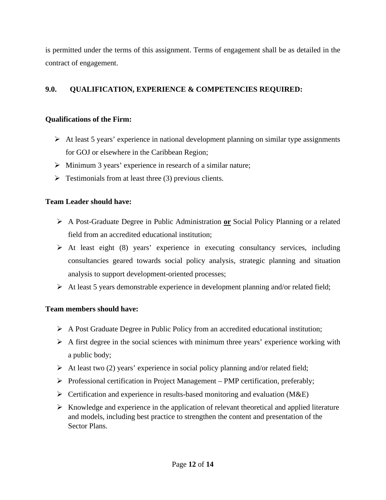is permitted under the terms of this assignment. Terms of engagement shall be as detailed in the contract of engagement.

## **9.0. QUALIFICATION, EXPERIENCE & COMPETENCIES REQUIRED:**

## **Qualifications of the Firm:**

- $\triangleright$  At least 5 years' experience in national development planning on similar type assignments for GOJ or elsewhere in the Caribbean Region;
- $\triangleright$  Minimum 3 years' experience in research of a similar nature;
- $\triangleright$  Testimonials from at least three (3) previous clients.

#### **Team Leader should have:**

- A Post-Graduate Degree in Public Administration **or** Social Policy Planning or a related field from an accredited educational institution;
- $\triangleright$  At least eight (8) years' experience in executing consultancy services, including consultancies geared towards social policy analysis, strategic planning and situation analysis to support development-oriented processes;
- $\triangleright$  At least 5 years demonstrable experience in development planning and/or related field;

#### **Team members should have:**

- A Post Graduate Degree in Public Policy from an accredited educational institution;
- $\triangleright$  A first degree in the social sciences with minimum three years' experience working with a public body;
- At least two (2) years' experience in social policy planning and/or related field;
- $\triangleright$  Professional certification in Project Management PMP certification, preferably;
- $\triangleright$  Certification and experience in results-based monitoring and evaluation (M&E)
- $\triangleright$  Knowledge and experience in the application of relevant theoretical and applied literature and models, including best practice to strengthen the content and presentation of the Sector Plans.